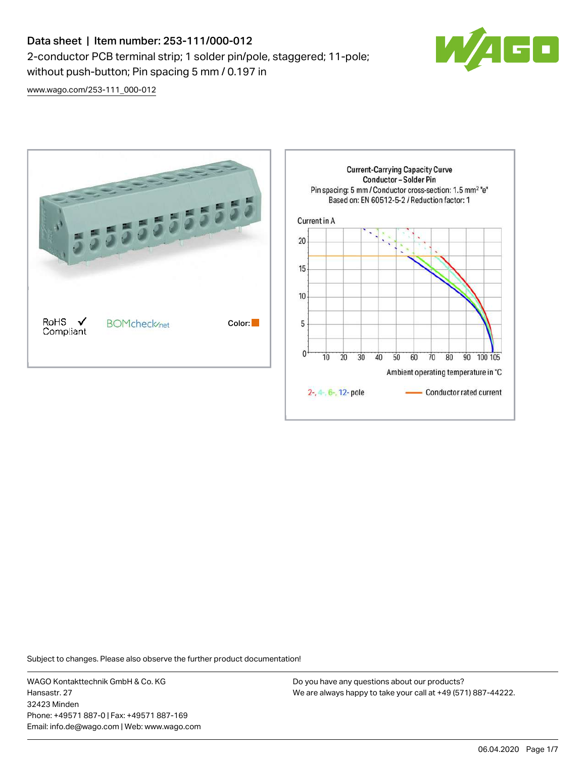# Data sheet | Item number: 253-111/000-012 2-conductor PCB terminal strip; 1 solder pin/pole, staggered; 11-pole; without push-button; Pin spacing 5 mm / 0.197 in



[www.wago.com/253-111\\_000-012](http://www.wago.com/253-111_000-012)



Subject to changes. Please also observe the further product documentation!

WAGO Kontakttechnik GmbH & Co. KG Hansastr. 27 32423 Minden Phone: +49571 887-0 | Fax: +49571 887-169 Email: info.de@wago.com | Web: www.wago.com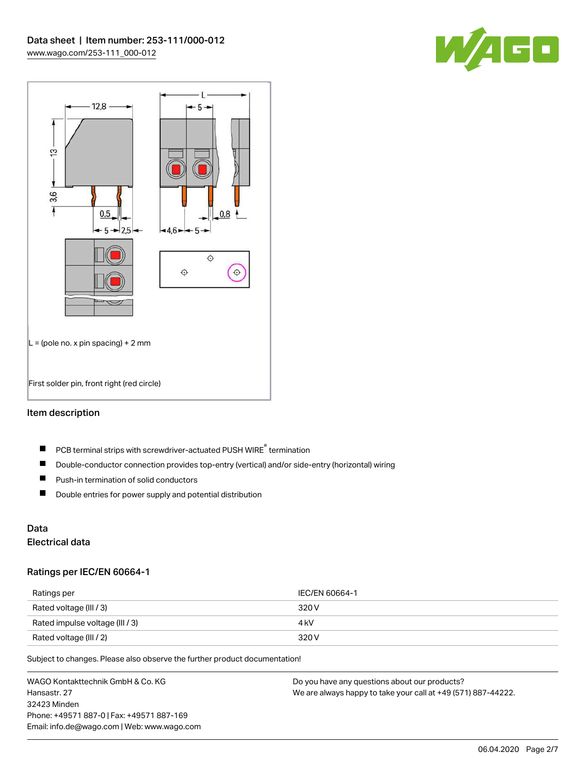



### Item description

- PCB terminal strips with screwdriver-actuated PUSH WIRE® termination  $\blacksquare$
- $\blacksquare$ Double-conductor connection provides top-entry (vertical) and/or side-entry (horizontal) wiring
- $\blacksquare$ Push-in termination of solid conductors
- $\blacksquare$ Double entries for power supply and potential distribution

# Data

## Electrical data

#### Ratings per IEC/EN 60664-1

| Ratings per                     | IEC/EN 60664-1 |
|---------------------------------|----------------|
| Rated voltage (III / 3)         | 320 V          |
| Rated impulse voltage (III / 3) | 4 kV           |
| Rated voltage (III / 2)         | 320 V          |

Subject to changes. Please also observe the further product documentation!

WAGO Kontakttechnik GmbH & Co. KG Hansastr. 27 32423 Minden Phone: +49571 887-0 | Fax: +49571 887-169 Email: info.de@wago.com | Web: www.wago.com Do you have any questions about our products? We are always happy to take your call at +49 (571) 887-44222.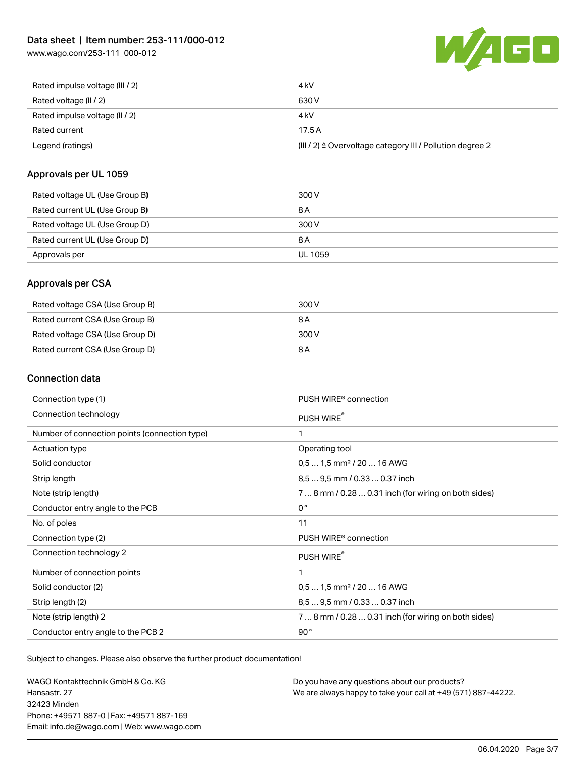[www.wago.com/253-111\\_000-012](http://www.wago.com/253-111_000-012)



| Rated current<br>Legend (ratings) | 17.5A<br>$(III / 2)$ $\triangle$ Overvoltage category III / Pollution degree 2 |
|-----------------------------------|--------------------------------------------------------------------------------|
|                                   |                                                                                |
| Rated impulse voltage (II / 2)    | 4 kV                                                                           |
| Rated voltage (II / 2)            | 630 V                                                                          |
| Rated impulse voltage (III / 2)   | 4 kV                                                                           |

### Approvals per UL 1059

| Rated voltage UL (Use Group B) | 300 V   |
|--------------------------------|---------|
| Rated current UL (Use Group B) | 8 A     |
| Rated voltage UL (Use Group D) | 300 V   |
| Rated current UL (Use Group D) | 8 A     |
| Approvals per                  | UL 1059 |

### Approvals per CSA

| Rated voltage CSA (Use Group B) | 300 V |
|---------------------------------|-------|
| Rated current CSA (Use Group B) | 8 A   |
| Rated voltage CSA (Use Group D) | 300 V |
| Rated current CSA (Use Group D) | 8 A   |

### Connection data

| Connection type (1)                           | PUSH WIRE <sup>®</sup> connection                    |
|-----------------------------------------------|------------------------------------------------------|
| Connection technology                         | PUSH WIRE®                                           |
| Number of connection points (connection type) | 1                                                    |
| Actuation type                                | Operating tool                                       |
| Solid conductor                               | $0.51.5$ mm <sup>2</sup> / 20  16 AWG                |
| Strip length                                  | 8,5  9,5 mm / 0.33  0.37 inch                        |
| Note (strip length)                           | 7  8 mm / 0.28  0.31 inch (for wiring on both sides) |
| Conductor entry angle to the PCB              | $0^{\circ}$                                          |
| No. of poles                                  | 11                                                   |
| Connection type (2)                           | PUSH WIRE <sup>®</sup> connection                    |
| Connection technology 2                       | PUSH WIRE®                                           |
| Number of connection points                   | 1                                                    |
| Solid conductor (2)                           | $0.51.5$ mm <sup>2</sup> / 20  16 AWG                |
| Strip length (2)                              | 8.5  9.5 mm / 0.33  0.37 inch                        |
| Note (strip length) 2                         | 7  8 mm / 0.28  0.31 inch (for wiring on both sides) |
| Conductor entry angle to the PCB 2            | 90°                                                  |

Subject to changes. Please also observe the further product documentation!

WAGO Kontakttechnik GmbH & Co. KG Hansastr. 27 32423 Minden Phone: +49571 887-0 | Fax: +49571 887-169 Email: info.de@wago.com | Web: www.wago.com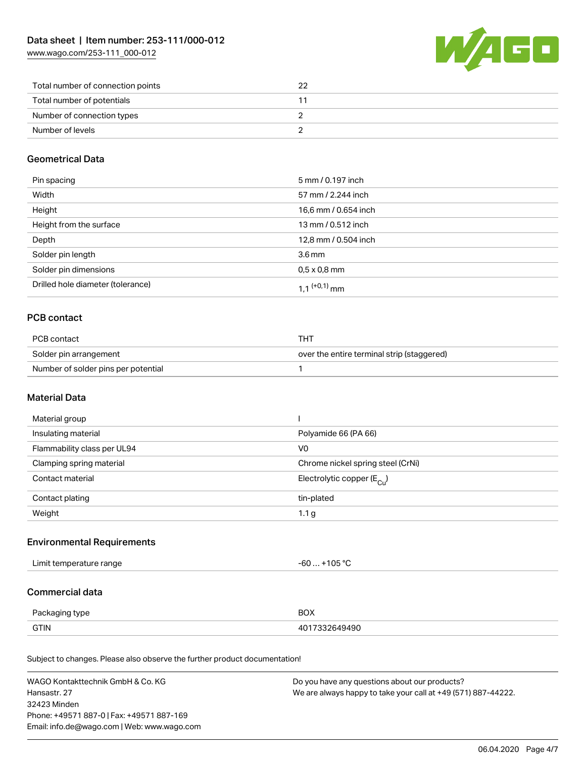[www.wago.com/253-111\\_000-012](http://www.wago.com/253-111_000-012)



| Total number of connection points |  |
|-----------------------------------|--|
| Total number of potentials        |  |
| Number of connection types        |  |
| Number of levels                  |  |

### Geometrical Data

| Pin spacing                       | 5 mm / 0.197 inch          |
|-----------------------------------|----------------------------|
| Width                             | 57 mm / 2.244 inch         |
| Height                            | 16,6 mm / 0.654 inch       |
| Height from the surface           | 13 mm / 0.512 inch         |
| Depth                             | 12,8 mm / 0.504 inch       |
| Solder pin length                 | $3.6 \,\mathrm{mm}$        |
| Solder pin dimensions             | $0.5 \times 0.8$ mm        |
| Drilled hole diameter (tolerance) | $1.1$ <sup>(+0,1)</sup> mm |

## PCB contact

| PCB contact                         | THT                                        |
|-------------------------------------|--------------------------------------------|
| Solder pin arrangement              | over the entire terminal strip (staggered) |
| Number of solder pins per potential |                                            |

### Material Data

| Material group              |                                         |
|-----------------------------|-----------------------------------------|
| Insulating material         | Polyamide 66 (PA 66)                    |
| Flammability class per UL94 | V <sub>0</sub>                          |
| Clamping spring material    | Chrome nickel spring steel (CrNi)       |
| Contact material            | Electrolytic copper ( $E_{\text{Cu}}$ ) |
| Contact plating             | tin-plated                              |
| Weight                      | 1.1 <sub>g</sub>                        |

## Environmental Requirements

| 105 °C∽<br>Limit temperature range<br>-61<br>$\sim$ $\sim$ $\sim$ $\sim$ $\sim$ $\sim$ |  |
|----------------------------------------------------------------------------------------|--|
|----------------------------------------------------------------------------------------|--|

### Commercial data

| Packaging type | <b>BOX</b> |
|----------------|------------|
| <b>GTIN</b>    | 7332649490 |

Subject to changes. Please also observe the further product documentation!

| WAGO Kontakttechnik GmbH & Co. KG           | Do you have any questions about our products?                 |
|---------------------------------------------|---------------------------------------------------------------|
| Hansastr. 27                                | We are always happy to take your call at +49 (571) 887-44222. |
| 32423 Minden                                |                                                               |
| Phone: +49571 887-0   Fax: +49571 887-169   |                                                               |
| Email: info.de@wago.com   Web: www.wago.com |                                                               |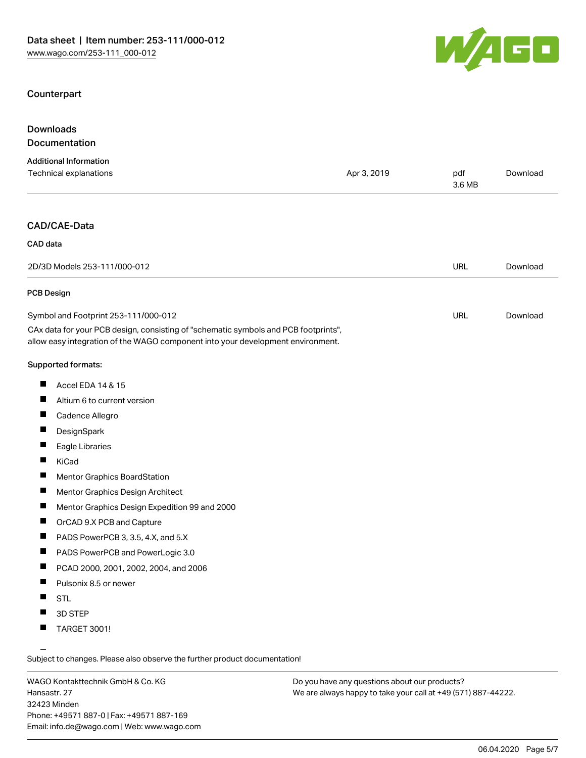### **Counterpart**



| Downloads                     |             |        |          |
|-------------------------------|-------------|--------|----------|
| Documentation                 |             |        |          |
| <b>Additional Information</b> |             |        |          |
| Technical explanations        | Apr 3, 2019 | pdf    | Download |
|                               |             | 3.6 MB |          |
|                               |             |        |          |
|                               |             |        |          |

### CAD/CAE-Data

| CAD data                             |     |          |
|--------------------------------------|-----|----------|
| 2D/3D Models 253-111/000-012         | URL | Download |
| PCB Design                           |     |          |
| Symbol and Footprint 253-111/000-012 | URL | Download |

CAx data for your PCB design, consisting of "schematic symbols and PCB footprints", allow easy integration of the WAGO component into your development environment.

#### Supported formats:

- $\blacksquare$ Accel EDA 14 & 15
- $\blacksquare$ Altium 6 to current version
- $\blacksquare$ Cadence Allegro
- $\blacksquare$ **DesignSpark**
- $\blacksquare$ Eagle Libraries
- $\blacksquare$ KiCad
- $\blacksquare$ Mentor Graphics BoardStation
- $\blacksquare$ Mentor Graphics Design Architect
- $\blacksquare$ Mentor Graphics Design Expedition 99 and 2000
- $\blacksquare$ OrCAD 9.X PCB and Capture
- $\blacksquare$ PADS PowerPCB 3, 3.5, 4.X, and 5.X
- $\blacksquare$ PADS PowerPCB and PowerLogic 3.0
- $\blacksquare$ PCAD 2000, 2001, 2002, 2004, and 2006
- $\blacksquare$ Pulsonix 8.5 or newer
- $\blacksquare$ **STL**
- $\blacksquare$ 3D STEP
- П TARGET 3001!

Subject to changes. Please also observe the further product documentation!

WAGO Kontakttechnik GmbH & Co. KG Hansastr. 27 32423 Minden Phone: +49571 887-0 | Fax: +49571 887-169 Email: info.de@wago.com | Web: www.wago.com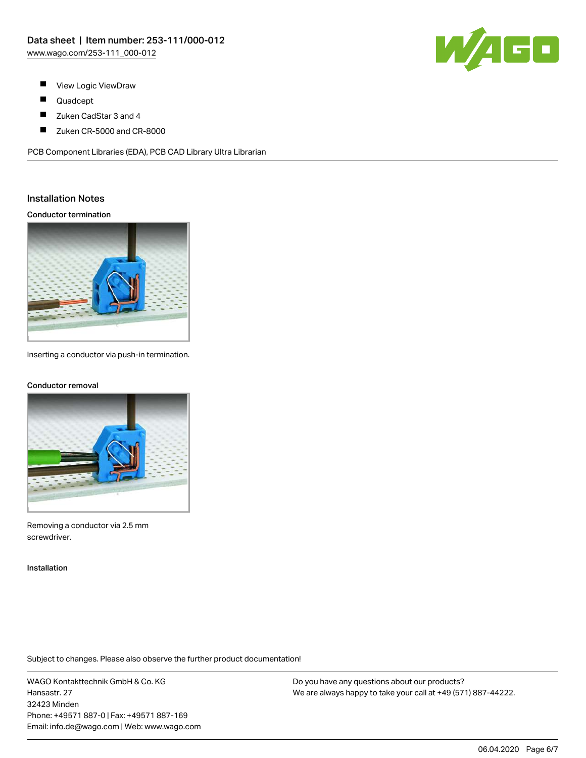

- $\blacksquare$ View Logic ViewDraw
- $\blacksquare$ Quadcept
- $\blacksquare$ Zuken CadStar 3 and 4
- $\blacksquare$ Zuken CR-5000 and CR-8000

PCB Component Libraries (EDA), PCB CAD Library Ultra Librarian

#### Installation Notes

Conductor termination



Inserting a conductor via push-in termination.

#### Conductor removal



Removing a conductor via 2.5 mm screwdriver.

Installation

Subject to changes. Please also observe the further product documentation!

WAGO Kontakttechnik GmbH & Co. KG Hansastr. 27 32423 Minden Phone: +49571 887-0 | Fax: +49571 887-169 Email: info.de@wago.com | Web: www.wago.com